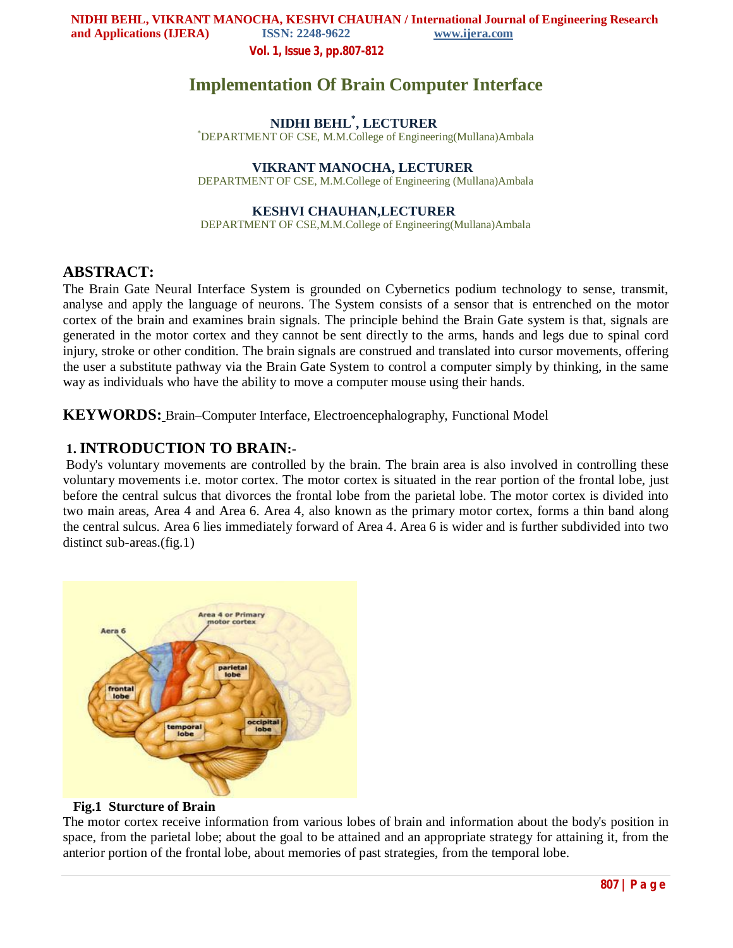**Vol. 1, Issue 3, pp.807-812**

# **Implementation Of Brain Computer Interface**

# **NIDHI BEHL\* , LECTURER**

\*DEPARTMENT OF CSE, M.M.College of Engineering(Mullana)Ambala

### **VIKRANT MANOCHA, LECTURER**

DEPARTMENT OF CSE, M.M.College of Engineering (Mullana)Ambala

#### **KESHVI CHAUHAN,LECTURER**

DEPARTMENT OF CSE,M.M.College of Engineering(Mullana)Ambala

### **ABSTRACT:**

The Brain Gate Neural Interface System is grounded on Cybernetics podium technology to sense, transmit, analyse and apply the language of neurons. The System consists of a sensor that is entrenched on the motor cortex of the brain and examines brain signals. The principle behind the Brain Gate system is that, signals are generated in the motor cortex and they cannot be sent directly to the arms, hands and legs due to spinal cord injury, stroke or other condition. The brain signals are construed and translated into cursor movements, offering the user a substitute pathway via the Brain Gate System to control a computer simply by thinking, in the same way as individuals who have the ability to move a computer mouse using their hands.

**KEYWORDS:** Brain–Computer Interface, Electroencephalography, Functional Model

### **1. INTRODUCTION TO BRAIN:**-

Body's voluntary movements are controlled by the brain. The brain area is also involved in controlling these voluntary movements i.e. motor cortex. The motor cortex is situated in the rear portion of the frontal lobe, just before the central sulcus that divorces the frontal lobe from the parietal lobe. The motor cortex is divided into two main areas, Area 4 and Area 6. Area 4, also known as the primary motor cortex, forms a thin band along the central sulcus. Area 6 lies immediately forward of Area 4. Area 6 is wider and is further subdivided into two distinct sub-areas.(fig.1)



#### **Fig.1 Sturcture of Brain**

The motor cortex receive information from various lobes of brain and information about the body's position in space, from the parietal lobe; about the goal to be attained and an appropriate strategy for attaining it, from the anterior portion of the frontal lobe, about memories of past strategies, from the temporal lobe.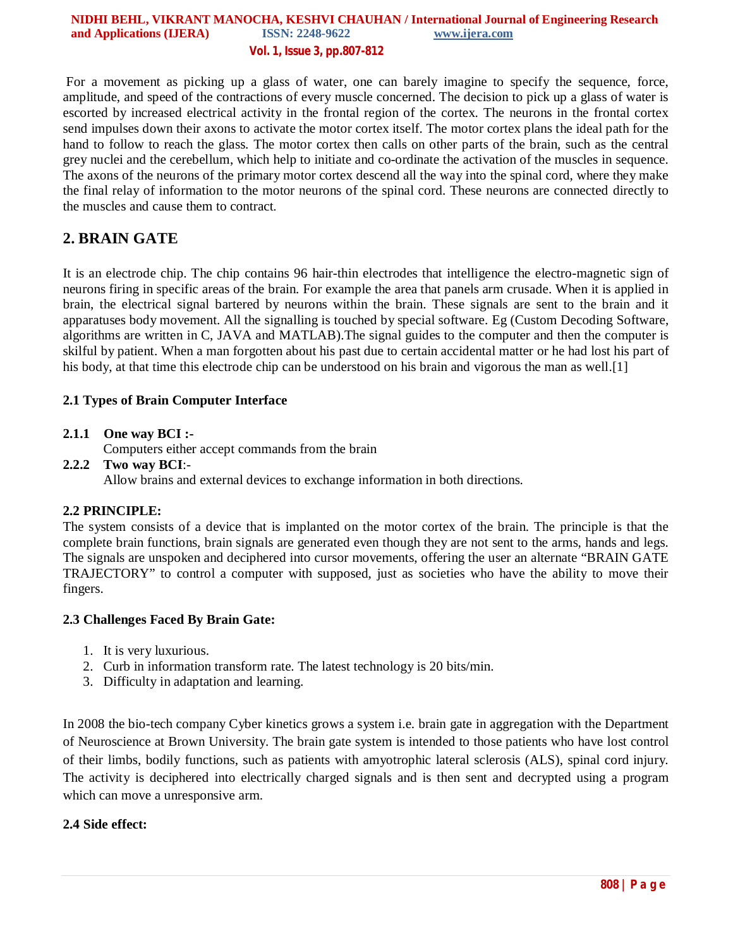#### **NIDHI BEHL, VIKRANT MANOCHA, KESHVI CHAUHAN / International Journal of Engineering Research and Applications (IJERA)** ISSN: 2248-9622 www.ijera.com **Vol. 1, Issue 3, pp.807-812**

For a movement as picking up a glass of water, one can barely imagine to specify the sequence, force, amplitude, and speed of the contractions of every muscle concerned. The decision to pick up a glass of water is escorted by increased electrical activity in the frontal region of the cortex. The neurons in the frontal cortex send impulses down their axons to activate the motor cortex itself. The motor cortex plans the ideal path for the hand to follow to reach the glass. The motor cortex then calls on other parts of the brain, such as the central grey nuclei and the cerebellum, which help to initiate and co-ordinate the activation of the muscles in sequence. The axons of the neurons of the primary motor cortex descend all the way into the spinal cord, where they make the final relay of information to the motor neurons of the spinal cord. These neurons are connected directly to the muscles and cause them to contract.

## **2. BRAIN GATE**

It is an electrode chip. The chip contains 96 hair-thin electrodes that intelligence the electro-magnetic sign of neurons firing in specific areas of the brain. For example the area that panels arm crusade. When it is applied in brain, the electrical signal bartered by neurons within the brain. These signals are sent to the brain and it apparatuses body movement. All the signalling is touched by special software. Eg (Custom Decoding Software, algorithms are written in C, JAVA and MATLAB).The signal guides to the computer and then the computer is skilful by patient. When a man forgotten about his past due to certain accidental matter or he had lost his part of his body, at that time this electrode chip can be understood on his brain and vigorous the man as well.<sup>[1]</sup>

#### **2.1 Types of Brain Computer Interface**

#### **2.1.1 One way BCI :-**

Computers either accept commands from the brain

#### **2.2.2 Two way BCI**:-

Allow brains and external devices to exchange information in both directions.

#### **2.2 PRINCIPLE:**

The system consists of a device that is implanted on the motor cortex of the brain. The principle is that the complete brain functions, brain signals are generated even though they are not sent to the arms, hands and legs. The signals are unspoken and deciphered into cursor movements, offering the user an alternate "BRAIN GATE TRAJECTORY" to control a computer with supposed, just as societies who have the ability to move their fingers.

#### **2.3 Challenges Faced By Brain Gate:**

- 1. It is very luxurious.
- 2. Curb in information transform rate. The latest technology is 20 bits/min.
- 3. Difficulty in adaptation and learning.

In 2008 the bio-tech company Cyber kinetics grows a system i.e. brain gate in aggregation with the Department of Neuroscience at Brown University. The brain gate system is intended to those patients who have lost control of their limbs, bodily functions, such as patients with amyotrophic lateral sclerosis (ALS), spinal cord injury. The activity is deciphered into electrically charged signals and is then sent and decrypted using a program which can move a unresponsive arm.

#### **2.4 Side effect:**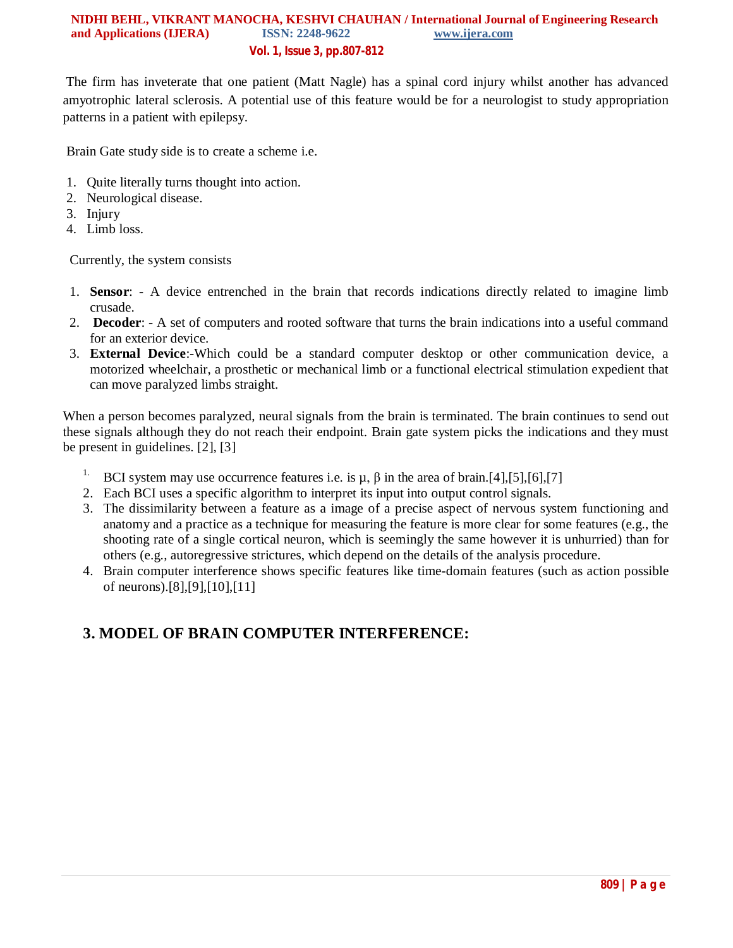#### **NIDHI BEHL, VIKRANT MANOCHA, KESHVI CHAUHAN / International Journal of Engineering Research and Applications (IJERA)** ISSN: 2248-9622 www.ijera.com **Vol. 1, Issue 3, pp.807-812**

The firm has inveterate that one patient (Matt Nagle) has a spinal cord injury whilst another has advanced amyotrophic lateral sclerosis. A potential use of this feature would be for a neurologist to study appropriation patterns in a patient with epilepsy.

Brain Gate study side is to create a scheme i.e.

- 1. Quite literally turns thought into action.
- 2. Neurological disease.
- 3. Injury
- 4. Limb loss.

Currently, the system consists

- 1. **Sensor**: A device entrenched in the brain that records indications directly related to imagine limb crusade.
- 2. **Decoder**: A set of computers and rooted software that turns the brain indications into a useful command for an exterior device.
- 3. **External Device**:-Which could be a standard computer desktop or other communication device, a motorized wheelchair, a prosthetic or mechanical limb or a functional electrical stimulation expedient that can move paralyzed limbs straight.

When a person becomes paralyzed, neural signals from the brain is terminated. The brain continues to send out these signals although they do not reach their endpoint. Brain gate system picks the indications and they must be present in guidelines. [2], [3]

- <sup>1.</sup> BCI system may use occurrence features i.e. is  $\mu$ ,  $\beta$  in the area of brain.[4],[5],[6],[7]
- 2. Each BCI uses a specific algorithm to interpret its input into output control signals.
- 3. The dissimilarity between a feature as a image of a precise aspect of nervous system functioning and anatomy and a practice as a technique for measuring the feature is more clear for some features (e.g., the shooting rate of a single cortical neuron, which is seemingly the same however it is unhurried) than for others (e.g., autoregressive strictures, which depend on the details of the analysis procedure.
- 4. Brain computer interference shows specific features like time-domain features (such as action possible of neurons).[8],[9],[10],[11]

# **3. MODEL OF BRAIN COMPUTER INTERFERENCE:**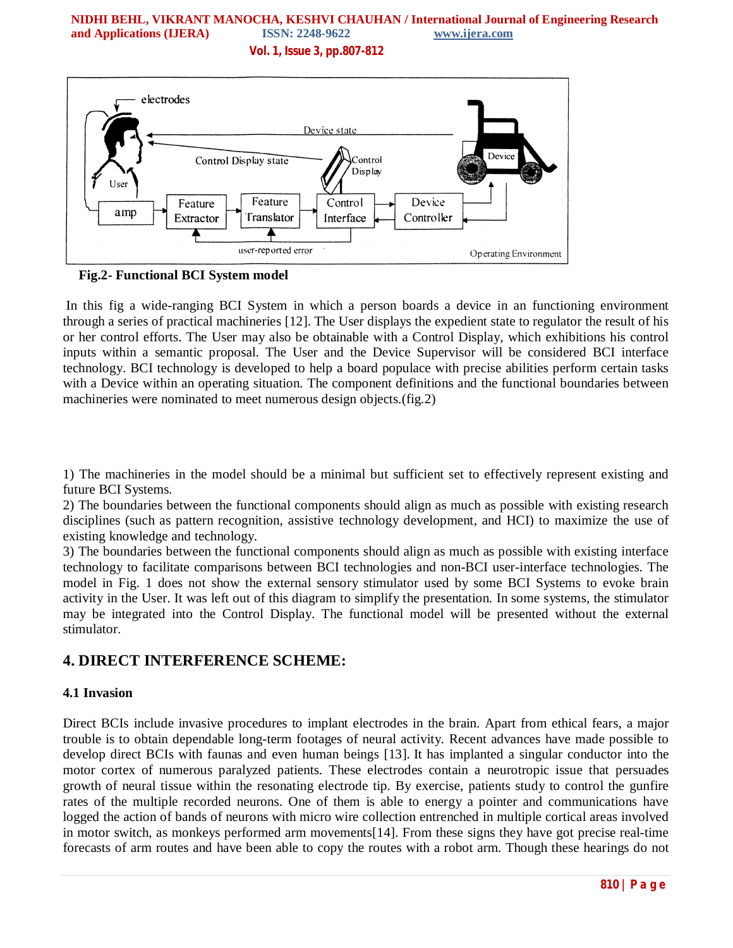### **NIDHI BEHL, VIKRANT MANOCHA, KESHVI CHAUHAN / International Journal of Engineering Research and Applications (IJERA) ISSN: 2248-9622 www.ijera.com**

**Vol. 1, Issue 3, pp.807-812**



**Fig.2- Functional BCI System model** 

In this fig a wide-ranging BCI System in which a person boards a device in an functioning environment through a series of practical machineries [12]. The User displays the expedient state to regulator the result of his or her control efforts. The User may also be obtainable with a Control Display, which exhibitions his control inputs within a semantic proposal. The User and the Device Supervisor will be considered BCI interface technology. BCI technology is developed to help a board populace with precise abilities perform certain tasks with a Device within an operating situation. The component definitions and the functional boundaries between machineries were nominated to meet numerous design objects.(fig.2)

1) The machineries in the model should be a minimal but sufficient set to effectively represent existing and future BCI Systems.

2) The boundaries between the functional components should align as much as possible with existing research disciplines (such as pattern recognition, assistive technology development, and HCI) to maximize the use of existing knowledge and technology.

3) The boundaries between the functional components should align as much as possible with existing interface technology to facilitate comparisons between BCI technologies and non-BCI user-interface technologies. The model in Fig. 1 does not show the external sensory stimulator used by some BCI Systems to evoke brain activity in the User. It was left out of this diagram to simplify the presentation. In some systems, the stimulator may be integrated into the Control Display. The functional model will be presented without the external stimulator.

# **4. DIRECT INTERFERENCE SCHEME:**

#### **4.1 Invasion**

Direct BCIs include invasive procedures to implant electrodes in the brain. Apart from ethical fears, a major trouble is to obtain dependable long-term footages of neural activity. Recent advances have made possible to develop direct BCIs with faunas and even human beings [13]. It has implanted a singular conductor into the motor cortex of numerous paralyzed patients. These electrodes contain a neurotropic issue that persuades growth of neural tissue within the resonating electrode tip. By exercise, patients study to control the gunfire rates of the multiple recorded neurons. One of them is able to energy a pointer and communications have logged the action of bands of neurons with micro wire collection entrenched in multiple cortical areas involved in motor switch, as monkeys performed arm movements[14]. From these signs they have got precise real-time forecasts of arm routes and have been able to copy the routes with a robot arm. Though these hearings do not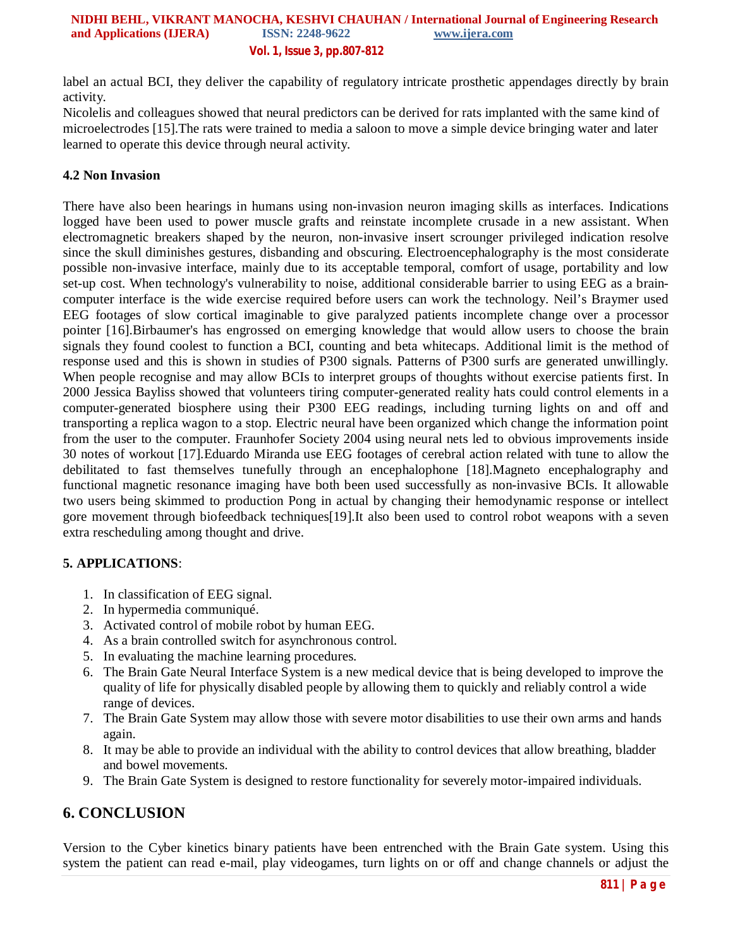label an actual BCI, they deliver the capability of regulatory intricate prosthetic appendages directly by brain activity.

Nicolelis and colleagues showed that neural predictors can be derived for rats implanted with the same kind of microelectrodes [15].The rats were trained to media a saloon to move a simple device bringing water and later learned to operate this device through neural activity.

#### **4.2 Non Invasion**

There have also been hearings in humans using non-invasion neuron imaging skills as interfaces. Indications logged have been used to power muscle grafts and reinstate incomplete crusade in a new assistant. When electromagnetic breakers shaped by the neuron, non-invasive insert scrounger privileged indication resolve since the skull diminishes gestures, disbanding and obscuring. Electroencephalography is the most considerate possible non-invasive interface, mainly due to its acceptable temporal, comfort of usage, portability and low set-up cost. When technology's vulnerability to noise, additional considerable barrier to using EEG as a braincomputer interface is the wide exercise required before users can work the technology. Neil's Braymer used EEG footages of slow cortical imaginable to give paralyzed patients incomplete change over a processor pointer [16].Birbaumer's has engrossed on emerging knowledge that would allow users to choose the brain signals they found coolest to function a BCI, counting and beta whitecaps. Additional limit is the method of response used and this is shown in studies of P300 signals. Patterns of P300 surfs are generated unwillingly. When people recognise and may allow BCIs to interpret groups of thoughts without exercise patients first. In 2000 Jessica Bayliss showed that volunteers tiring computer-generated reality hats could control elements in a computer-generated biosphere using their P300 EEG readings, including turning lights on and off and transporting a replica wagon to a stop. Electric neural have been organized which change the information point from the user to the computer. Fraunhofer Society 2004 using neural nets led to obvious improvements inside 30 notes of workout [17].Eduardo Miranda use EEG footages of cerebral action related with tune to allow the debilitated to fast themselves tunefully through an encephalophone [18].Magneto encephalography and functional magnetic resonance imaging have both been used successfully as non-invasive BCIs. It allowable two users being skimmed to production Pong in actual by changing their hemodynamic response or intellect gore movement through biofeedback techniques[19].It also been used to control robot weapons with a seven extra rescheduling among thought and drive.

#### **5. APPLICATIONS**:

- 1. In classification of EEG signal.
- 2. In hypermedia communiqué.
- 3. Activated control of mobile robot by human EEG.
- 4. As a brain controlled switch for asynchronous control.
- 5. In evaluating the machine learning procedures.
- 6. The Brain Gate Neural Interface System is a new medical device that is being developed to improve the quality of life for physically disabled people by allowing them to quickly and reliably control a wide range of devices.
- 7. The Brain Gate System may allow those with severe motor disabilities to use their own arms and hands again.
- 8. It may be able to provide an individual with the ability to control devices that allow breathing, bladder and bowel movements.
- 9. The Brain Gate System is designed to restore functionality for severely motor-impaired individuals.

### **6. CONCLUSION**

Version to the Cyber kinetics binary patients have been entrenched with the Brain Gate system. Using this system the patient can read e-mail, play videogames, turn lights on or off and change channels or adjust the